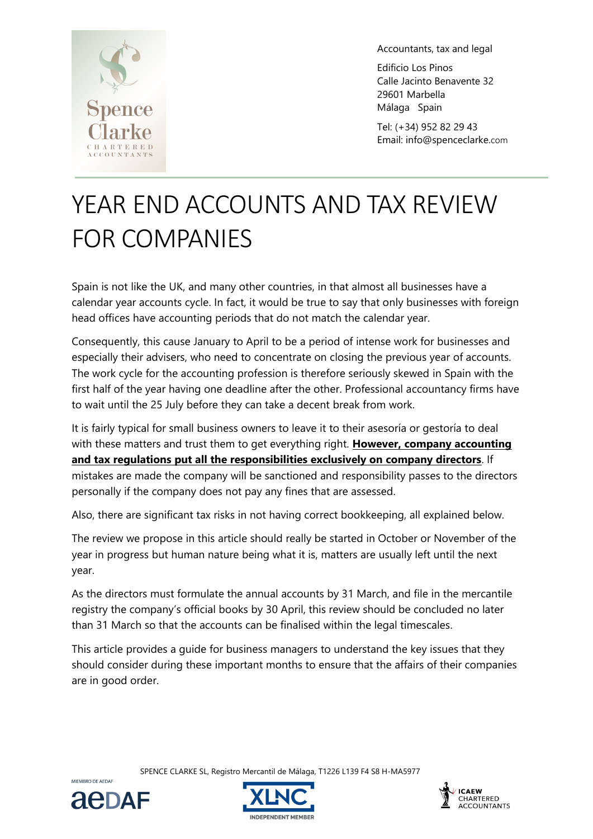

Accountants, tax and legal

Edificio Los Pinos Calle Jacinto Benavente 32 29601 Marbella Málaga Spain

Tel: (+34) 952 82 29 43 Email: info@spenceclarke.com

# YEAR END ACCOUNTS AND TAX REVIEW FOR COMPANIES

Spain is not like the UK, and many other countries, in that almost all businesses have a calendar year accounts cycle. In fact, it would be true to say that only businesses with foreign head offices have accounting periods that do not match the calendar year.

Consequently, this cause January to April to be a period of intense work for businesses and especially their advisers, who need to concentrate on closing the previous year of accounts. The work cycle for the accounting profession is therefore seriously skewed in Spain with the first half of the year having one deadline after the other. Professional accountancy firms have to wait until the 25 July before they can take a decent break from work.

It is fairly typical for small business owners to leave it to their asesoría or gestoría to deal with these matters and trust them to get everything right. **However, company accounting and tax regulations put all the responsibilities exclusively on company directors**. If mistakes are made the company will be sanctioned and responsibility passes to the directors personally if the company does not pay any fines that are assessed.

Also, there are significant tax risks in not having correct bookkeeping, all explained below.

The review we propose in this article should really be started in October or November of the year in progress but human nature being what it is, matters are usually left until the next year.

As the directors must formulate the annual accounts by 31 March, and file in the mercantile registry the company's official books by 30 April, this review should be concluded no later than 31 March so that the accounts can be finalised within the legal timescales.

This article provides a guide for business managers to understand the key issues that they should consider during these important months to ensure that the affairs of their companies are in good order.

SPENCE CLARKE SL, Registro Mercantil de Málaga, T1226 L139 F4 S8 H-MA5977



MIEMBRO DE AEDAR



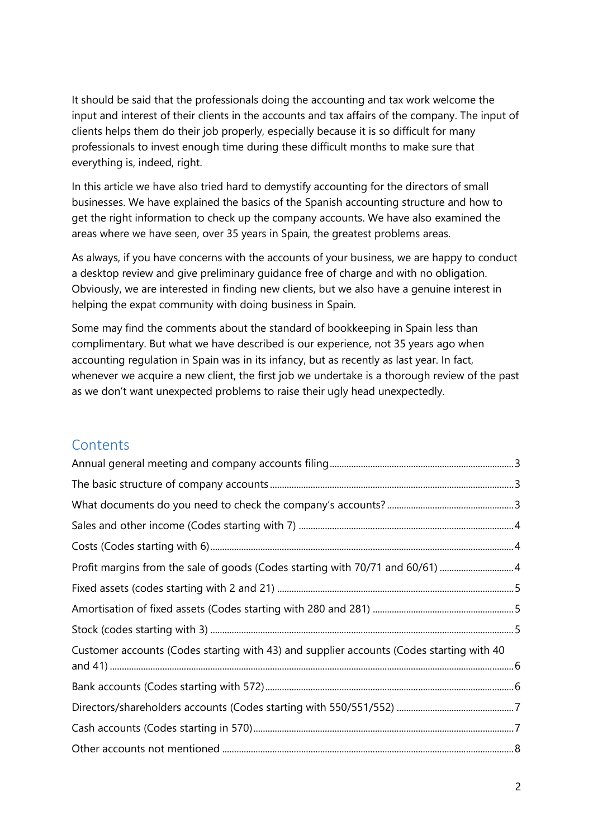It should be said that the professionals doing the accounting and tax work welcome the input and interest of their clients in the accounts and tax affairs of the company. The input of clients helps them do their job properly, especially because it is so difficult for many professionals to invest enough time during these difficult months to make sure that everything is, indeed, right.

In this article we have also tried hard to demystify accounting for the directors of small businesses. We have explained the basics of the Spanish accounting structure and how to get the right information to check up the company accounts. We have also examined the areas where we have seen, over 35 years in Spain, the greatest problems areas.

As always, if you have concerns with the accounts of your business, we are happy to conduct a desktop review and give preliminary guidance free of charge and with no obligation. Obviously, we are interested in finding new clients, but we also have a genuine interest in helping the expat community with doing business in Spain.

Some may find the comments about the standard of bookkeeping in Spain less than complimentary. But what we have described is our experience, not 35 years ago when accounting regulation in Spain was in its infancy, but as recently as last year. In fact, whenever we acquire a new client, the first job we undertake is a thorough review of the past as we don't want unexpected problems to raise their ugly head unexpectedly.

#### **Contents**

| Profit margins from the sale of goods (Codes starting with 70/71 and 60/61)              |  |
|------------------------------------------------------------------------------------------|--|
|                                                                                          |  |
|                                                                                          |  |
|                                                                                          |  |
| Customer accounts (Codes starting with 43) and supplier accounts (Codes starting with 40 |  |
|                                                                                          |  |
|                                                                                          |  |
|                                                                                          |  |
|                                                                                          |  |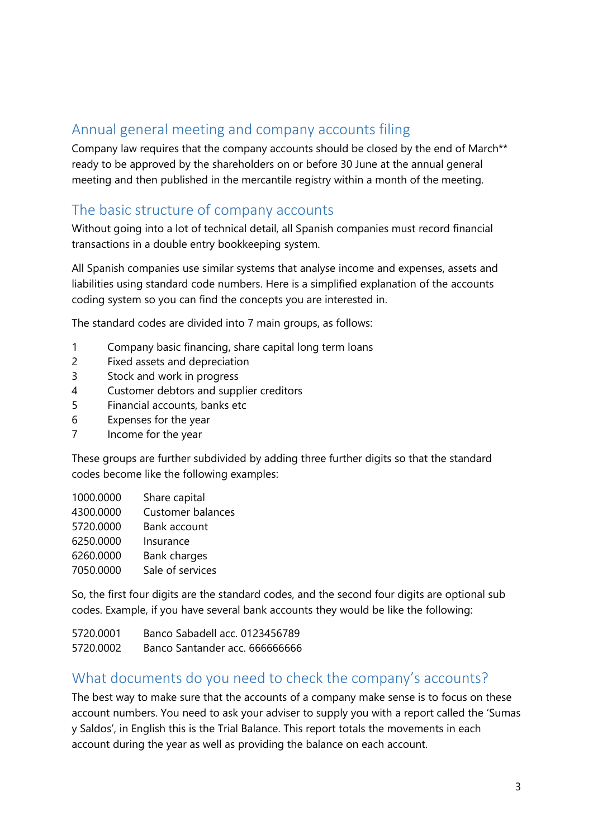## Annual general meeting and company accounts filing

Company law requires that the company accounts should be closed by the end of March\*\* ready to be approved by the shareholders on or before 30 June at the annual general meeting and then published in the mercantile registry within a month of the meeting.

#### The basic structure of company accounts

Without going into a lot of technical detail, all Spanish companies must record financial transactions in a double entry bookkeeping system.

All Spanish companies use similar systems that analyse income and expenses, assets and liabilities using standard code numbers. Here is a simplified explanation of the accounts coding system so you can find the concepts you are interested in.

The standard codes are divided into 7 main groups, as follows:

- 1 Company basic financing, share capital long term loans
- 2 Fixed assets and depreciation
- 3 Stock and work in progress
- 4 Customer debtors and supplier creditors
- 5 Financial accounts, banks etc
- 6 Expenses for the year
- 7 Income for the year

These groups are further subdivided by adding three further digits so that the standard codes become like the following examples:

| 1000.0000 | Share capital            |
|-----------|--------------------------|
| 4300.0000 | <b>Customer balances</b> |
| 5720.0000 | Bank account             |
| 6250.0000 | Insurance                |
| 6260.0000 | Bank charges             |
| 7050.0000 | Sale of services         |

So, the first four digits are the standard codes, and the second four digits are optional sub codes. Example, if you have several bank accounts they would be like the following:

| 5720.0001 | Banco Sabadell acc. 0123456789 |
|-----------|--------------------------------|
| 5720.0002 | Banco Santander acc. 666666666 |

#### What documents do you need to check the company's accounts?

The best way to make sure that the accounts of a company make sense is to focus on these account numbers. You need to ask your adviser to supply you with a report called the 'Sumas y Saldos', in English this is the Trial Balance. This report totals the movements in each account during the year as well as providing the balance on each account.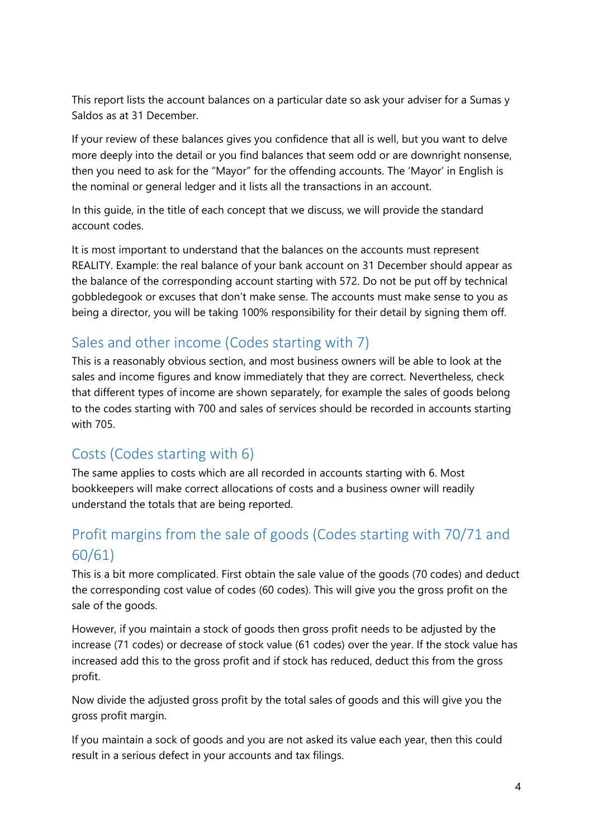This report lists the account balances on a particular date so ask your adviser for a Sumas y Saldos as at 31 December.

If your review of these balances gives you confidence that all is well, but you want to delve more deeply into the detail or you find balances that seem odd or are downright nonsense, then you need to ask for the "Mayor" for the offending accounts. The 'Mayor' in English is the nominal or general ledger and it lists all the transactions in an account.

In this guide, in the title of each concept that we discuss, we will provide the standard account codes.

It is most important to understand that the balances on the accounts must represent REALITY. Example: the real balance of your bank account on 31 December should appear as the balance of the corresponding account starting with 572. Do not be put off by technical gobbledegook or excuses that don't make sense. The accounts must make sense to you as being a director, you will be taking 100% responsibility for their detail by signing them off.

# Sales and other income (Codes starting with 7)

This is a reasonably obvious section, and most business owners will be able to look at the sales and income figures and know immediately that they are correct. Nevertheless, check that different types of income are shown separately, for example the sales of goods belong to the codes starting with 700 and sales of services should be recorded in accounts starting with 705.

# Costs (Codes starting with 6)

The same applies to costs which are all recorded in accounts starting with 6. Most bookkeepers will make correct allocations of costs and a business owner will readily understand the totals that are being reported.

# Profit margins from the sale of goods (Codes starting with 70/71 and 60/61)

This is a bit more complicated. First obtain the sale value of the goods (70 codes) and deduct the corresponding cost value of codes (60 codes). This will give you the gross profit on the sale of the goods.

However, if you maintain a stock of goods then gross profit needs to be adjusted by the increase (71 codes) or decrease of stock value (61 codes) over the year. If the stock value has increased add this to the gross profit and if stock has reduced, deduct this from the gross profit.

Now divide the adjusted gross profit by the total sales of goods and this will give you the gross profit margin.

If you maintain a sock of goods and you are not asked its value each year, then this could result in a serious defect in your accounts and tax filings.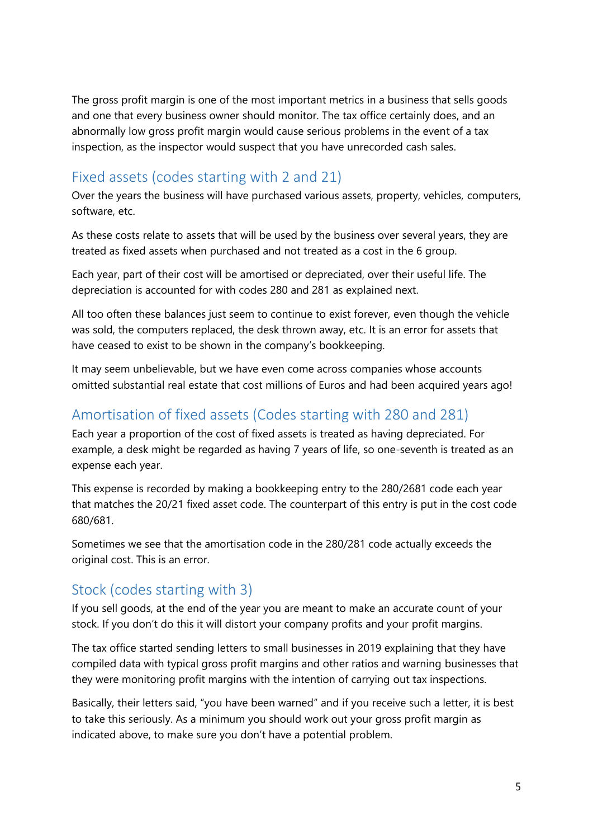The gross profit margin is one of the most important metrics in a business that sells goods and one that every business owner should monitor. The tax office certainly does, and an abnormally low gross profit margin would cause serious problems in the event of a tax inspection, as the inspector would suspect that you have unrecorded cash sales.

#### Fixed assets (codes starting with 2 and 21)

Over the years the business will have purchased various assets, property, vehicles, computers, software, etc.

As these costs relate to assets that will be used by the business over several years, they are treated as fixed assets when purchased and not treated as a cost in the 6 group.

Each year, part of their cost will be amortised or depreciated, over their useful life. The depreciation is accounted for with codes 280 and 281 as explained next.

All too often these balances just seem to continue to exist forever, even though the vehicle was sold, the computers replaced, the desk thrown away, etc. It is an error for assets that have ceased to exist to be shown in the company's bookkeeping.

It may seem unbelievable, but we have even come across companies whose accounts omitted substantial real estate that cost millions of Euros and had been acquired years ago!

#### Amortisation of fixed assets (Codes starting with 280 and 281)

Each year a proportion of the cost of fixed assets is treated as having depreciated. For example, a desk might be regarded as having 7 years of life, so one-seventh is treated as an expense each year.

This expense is recorded by making a bookkeeping entry to the 280/2681 code each year that matches the 20/21 fixed asset code. The counterpart of this entry is put in the cost code 680/681.

Sometimes we see that the amortisation code in the 280/281 code actually exceeds the original cost. This is an error.

#### Stock (codes starting with 3)

If you sell goods, at the end of the year you are meant to make an accurate count of your stock. If you don't do this it will distort your company profits and your profit margins.

The tax office started sending letters to small businesses in 2019 explaining that they have compiled data with typical gross profit margins and other ratios and warning businesses that they were monitoring profit margins with the intention of carrying out tax inspections.

Basically, their letters said, "you have been warned" and if you receive such a letter, it is best to take this seriously. As a minimum you should work out your gross profit margin as indicated above, to make sure you don't have a potential problem.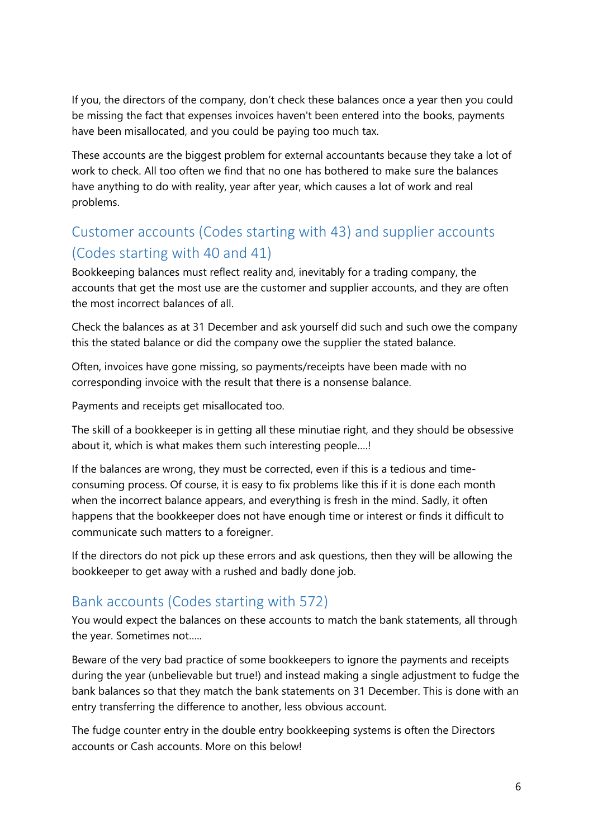If you, the directors of the company, don't check these balances once a year then you could be missing the fact that expenses invoices haven't been entered into the books, payments have been misallocated, and you could be paying too much tax.

These accounts are the biggest problem for external accountants because they take a lot of work to check. All too often we find that no one has bothered to make sure the balances have anything to do with reality, year after year, which causes a lot of work and real problems.

# Customer accounts (Codes starting with 43) and supplier accounts (Codes starting with 40 and 41)

Bookkeeping balances must reflect reality and, inevitably for a trading company, the accounts that get the most use are the customer and supplier accounts, and they are often the most incorrect balances of all.

Check the balances as at 31 December and ask yourself did such and such owe the company this the stated balance or did the company owe the supplier the stated balance.

Often, invoices have gone missing, so payments/receipts have been made with no corresponding invoice with the result that there is a nonsense balance.

Payments and receipts get misallocated too.

The skill of a bookkeeper is in getting all these minutiae right, and they should be obsessive about it, which is what makes them such interesting people….!

If the balances are wrong, they must be corrected, even if this is a tedious and timeconsuming process. Of course, it is easy to fix problems like this if it is done each month when the incorrect balance appears, and everything is fresh in the mind. Sadly, it often happens that the bookkeeper does not have enough time or interest or finds it difficult to communicate such matters to a foreigner.

If the directors do not pick up these errors and ask questions, then they will be allowing the bookkeeper to get away with a rushed and badly done job.

# Bank accounts (Codes starting with 572)

You would expect the balances on these accounts to match the bank statements, all through the year. Sometimes not…..

Beware of the very bad practice of some bookkeepers to ignore the payments and receipts during the year (unbelievable but true!) and instead making a single adjustment to fudge the bank balances so that they match the bank statements on 31 December. This is done with an entry transferring the difference to another, less obvious account.

The fudge counter entry in the double entry bookkeeping systems is often the Directors accounts or Cash accounts. More on this below!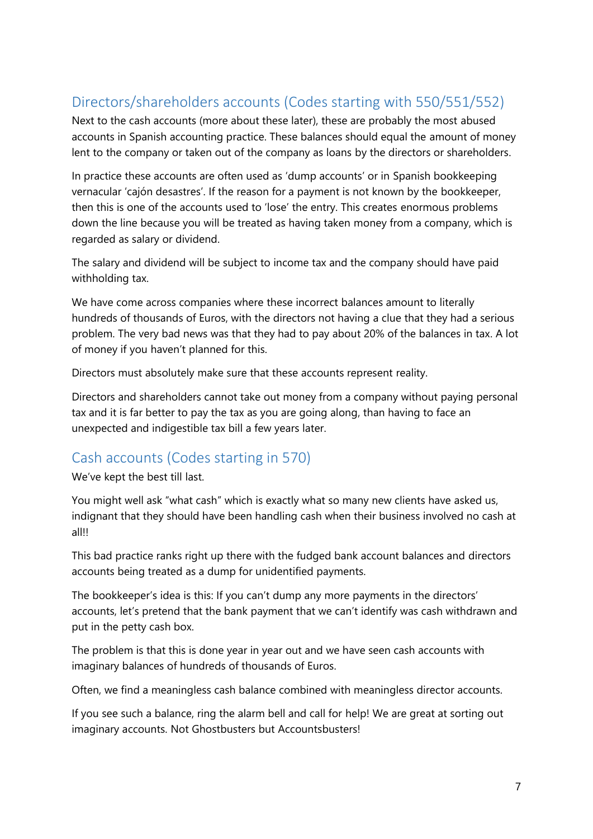# Directors/shareholders accounts (Codes starting with 550/551/552)

Next to the cash accounts (more about these later), these are probably the most abused accounts in Spanish accounting practice. These balances should equal the amount of money lent to the company or taken out of the company as loans by the directors or shareholders.

In practice these accounts are often used as 'dump accounts' or in Spanish bookkeeping vernacular 'cajón desastres'. If the reason for a payment is not known by the bookkeeper, then this is one of the accounts used to 'lose' the entry. This creates enormous problems down the line because you will be treated as having taken money from a company, which is regarded as salary or dividend.

The salary and dividend will be subject to income tax and the company should have paid withholding tax.

We have come across companies where these incorrect balances amount to literally hundreds of thousands of Euros, with the directors not having a clue that they had a serious problem. The very bad news was that they had to pay about 20% of the balances in tax. A lot of money if you haven't planned for this.

Directors must absolutely make sure that these accounts represent reality.

Directors and shareholders cannot take out money from a company without paying personal tax and it is far better to pay the tax as you are going along, than having to face an unexpected and indigestible tax bill a few years later.

#### Cash accounts (Codes starting in 570)

We've kept the best till last.

You might well ask "what cash" which is exactly what so many new clients have asked us, indignant that they should have been handling cash when their business involved no cash at all!!

This bad practice ranks right up there with the fudged bank account balances and directors accounts being treated as a dump for unidentified payments.

The bookkeeper's idea is this: If you can't dump any more payments in the directors' accounts, let's pretend that the bank payment that we can't identify was cash withdrawn and put in the petty cash box.

The problem is that this is done year in year out and we have seen cash accounts with imaginary balances of hundreds of thousands of Euros.

Often, we find a meaningless cash balance combined with meaningless director accounts.

If you see such a balance, ring the alarm bell and call for help! We are great at sorting out imaginary accounts. Not Ghostbusters but Accountsbusters!